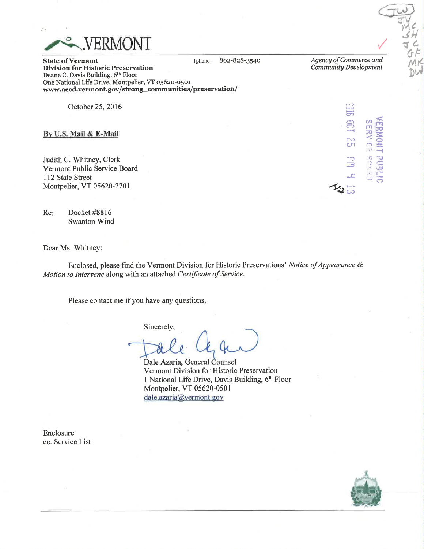

802-828-3540 [phone]

Agency of Commerce and Community Development

9107

ساهيكة

**SERVICE BOAR** 

**TERMONT** 

**PUBLIC** 

**State of Vermont Division for Historic Preservation** Deane C. Davis Building, 6th Floor One National Life Drive, Montpelier, VT 05620-0501 www.accd.vermont.gov/strong\_communities/preservation/

October 25, 2016

By U.S. Mail & E-Mail

Judith C. Whitney, Clerk Vermont Public Service Board 112 State Street Montpelier, VT 05620-2701

Re: Docket #8816 **Swanton Wind** 

Dear Ms. Whitney:

Enclosed, please find the Vermont Division for Historic Preservations' Notice of Appearance & Motion to Intervene along with an attached Certificate of Service.

Please contact me if you have any questions.

Sincerely,

Dale Azaria, General Counsel Vermont Division for Historic Preservation 1 National Life Drive, Davis Building, 6th Floor Montpelier, VT 05620-0501 dale.azaria@vermont.gov

Enclosure cc. Service List

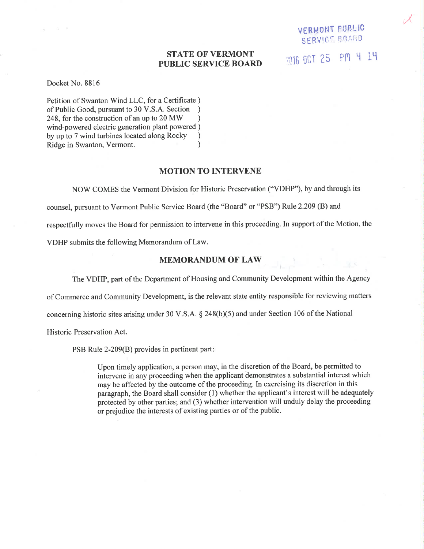# STATE OF VERMONT PUBLIC SERVICE BOARI)

 $\mathcal{Y}$ 

VERMONT PUBLIC SERVICT BOARD

2016 OCT 25 PM 4 14

#### Docket No. 8816

Petition of Swanton Wind LLC, for a Certificate ) of Public Good, pursuant to 30 V.S.A. Section ) 248, for the construction of an up to  $20 \text{ MW}$  ) wind-powered electric generation plant powered ) by up to 7 wind turbines located along Rocky ) Ridge in Swanton, Vermont. (a)

### MOTION TO INTERVENE

NOW COMES the Vermont Division for Historic Preservation ("VDHP"), by and through its counsel, pursuant to Vermont Public Service Board (the "Board" or "PSB") Rule 2.209 (B) and respectfully moves the Board for permission to intervene in this proceeding. In support of the Motion, the VDHP submits the following Memorandum of Law.

### MEMORANDUM OF LAW

The VDHP, part of the Department of Housing and Community Development within the Agency

of Commerce and Community Development, is the relevant state entity responsible for reviewing matters

concerning historic sites arising under 30 V.S.A.  $\S$  248(b)(5) and under Section 106 of the National

Historic Preservation Act.

PSB Rule 2-209(B) provides in pertinent part

Upon timely application, a person may, in the discretion of the Board, be permitted to intervene in any proceeding when the applicant demonstrates a substantial interest which may be affected by the outcome of the proceeding. In exercising its discretion in this paragraph, the Board shall consider (1) whether the applicant's interest will be adequately protected by other parties; and (3) whether intervention will unduly delay the proceeding or prejudice the interests of existing parties or of the public.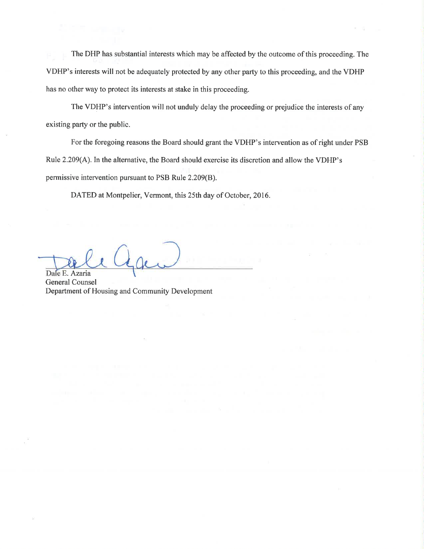The DHP has substantial interests which may be affected by the outcome of this proceeding. The VDFIP's interests will not be adequately protected by any other party to this proceeding, and the VDHP has no other way to protect its interests at stake in this proceeding.

The VDHP's intervention will not unduly delay the proceeding or prejudice the interests of any existing party or the public.

For the foregoing reasons the Board should grant the VDHP's intervention as of right under PSB Rule 2.209(A). In the alternative, the Board should exercise its discretion and allow the VDHP's permissive intervention pursuant to PSB Rule 2.209(8).

DATED at Montpelier, Vermont, this 25th day of October, 2016.

Dale E. Azaria

General Counsel Department of Housing and Community Development